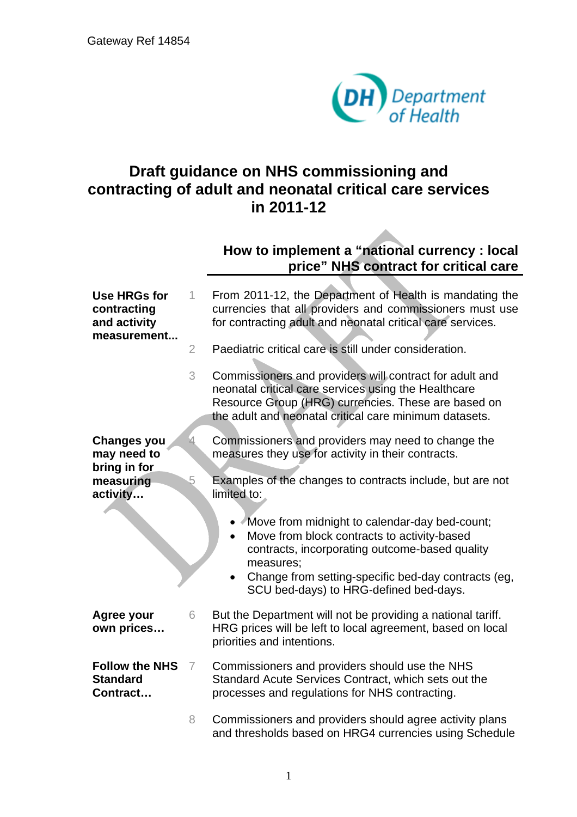

## **Draft guidance on NHS commissioning and contracting of adult and neonatal critical care services in 2011-12**

## **How to implement a "national currency : local price" NHS contract for critical care**

| <b>Use HRGs for</b><br>contracting<br>and activity<br>measurement | 1              | From 2011-12, the Department of Health is mandating the<br>currencies that all providers and commissioners must use<br>for contracting adult and neonatal critical care services.                                                |
|-------------------------------------------------------------------|----------------|----------------------------------------------------------------------------------------------------------------------------------------------------------------------------------------------------------------------------------|
|                                                                   | $\overline{2}$ | Paediatric critical care is still under consideration.                                                                                                                                                                           |
|                                                                   | 3              | Commissioners and providers will contract for adult and<br>neonatal critical care services using the Healthcare<br>Resource Group (HRG) currencies. These are based on<br>the adult and neonatal critical care minimum datasets. |
| <b>Changes you</b><br>may need to<br>bring in for                 | ₫              | Commissioners and providers may need to change the<br>measures they use for activity in their contracts.                                                                                                                         |
| measuring<br>activity                                             | 5              | Examples of the changes to contracts include, but are not<br>limited to:                                                                                                                                                         |
|                                                                   |                | • Move from midnight to calendar-day bed-count;<br>Move from block contracts to activity-based<br>contracts, incorporating outcome-based quality<br>measures;                                                                    |
|                                                                   |                | Change from setting-specific bed-day contracts (eg,<br>SCU bed-days) to HRG-defined bed-days.                                                                                                                                    |
| Agree your<br>own prices                                          | 6              | But the Department will not be providing a national tariff.<br>HRG prices will be left to local agreement, based on local<br>priorities and intentions.                                                                          |
| <b>Follow the NHS</b><br><b>Standard</b><br>Contract              | $\overline{7}$ | Commissioners and providers should use the NHS<br>Standard Acute Services Contract, which sets out the<br>processes and regulations for NHS contracting.                                                                         |
|                                                                   | 8              | Commissioners and providers should agree activity plans<br>and thresholds based on HRG4 currencies using Schedule                                                                                                                |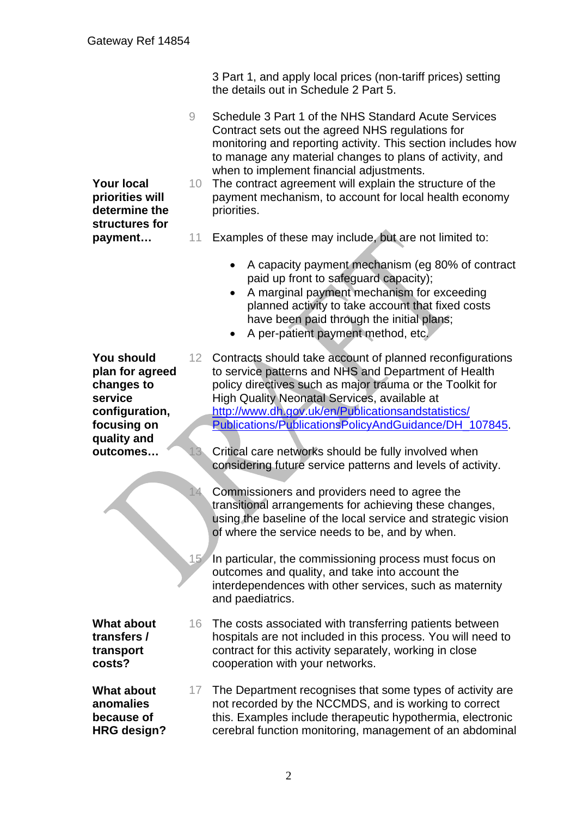**Your local priorities will determine the structures for payment…** 

3 Part 1, and apply local prices (non-tariff prices) setting the details out in Schedule 2 Part 5.

9 Schedule 3 Part 1 of the NHS Standard Acute Services Contract sets out the agreed NHS regulations for monitoring and reporting activity. This section includes how to manage any material changes to plans of activity, and when to implement financial adjustments.

10 The contract agreement will explain the structure of the payment mechanism, to account for local health economy priorities.

- 11 Examples of these may include, but are not limited to:
	- A capacity payment mechanism (eg 80% of contract paid up front to safeguard capacity);
	- A marginal payment mechanism for exceeding planned activity to take account that fixed costs have been paid through the initial plans;
	- A per-patient payment method, etc.

**You should**  12 Contracts should take account of planned reconfigurations to service patterns and NHS and Department of Health policy directives such as major trauma or the Toolkit for High Quality Neonatal Services, available at [http://www.dh.gov.uk/e](http://www.dh.gov.uk/)n/Publicationsandstatistics/ Publications/PublicationsPolicyAndGuidance/DH\_107845.

> Critical care networks should be fully involved when considering future service patterns and levels of activity.

Commissioners and providers need to agree the transitional arrangements for achieving these changes, using the baseline of the local service and strategic vision of where the service needs to be, and by when.

In particular, the commissioning process must focus on outcomes and quality, and take into account the interdependences with other services, such as maternity and paediatrics.

16 The costs associated with transferring patients between hospitals are not included in this process. You will need to contract for this activity separately, working in close cooperation with your networks.

17 The Department recognises that some types of activity are not recorded by the NCCMDS, and is working to correct this. Examples include therapeutic hypothermia, electronic cerebral function monitoring, management of an abdominal

**plan for agreed changes to service configuration, focusing on quality and outcomes…**  13

14

15

**What about transfers / transport costs?** 

**What about anomalies because of HRG design?**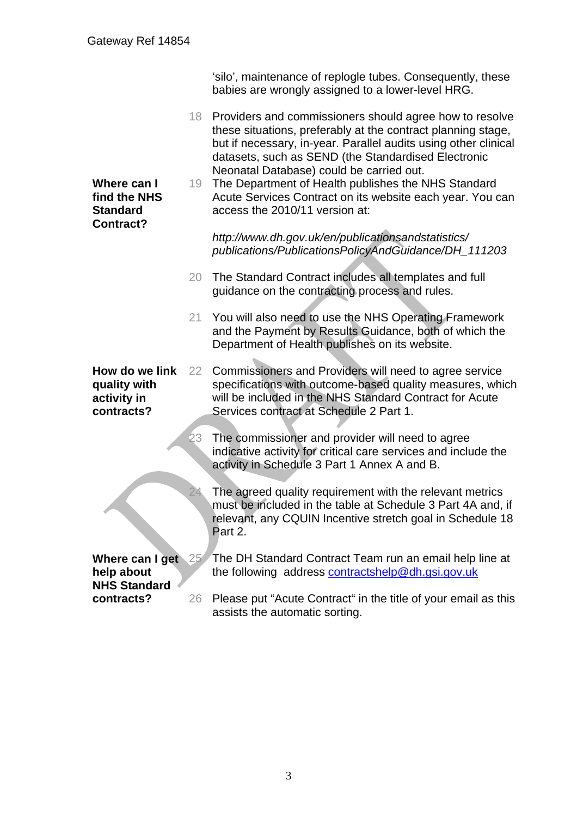'silo', maintenance of replogle tubes. Consequently, these babies are wrongly assigned to a lower-level HRG.

18 Providers and commissioners should agree how to resolve these situations, preferably at the contract planning stage, but if necessary, in-year. Parallel audits using other clinical datasets, such as SEND (the Standardised Electronic Neonatal Database) could be carried out. **Where can I find the NHS Standard Contract?**  19 The Department of Health publishes the NHS Standard 20 The Standard Contract includes all templates and full 21 You will also need to use the NHS Operating Framework Acute Services Contract on its website each year. You can access the 2010/11 version at: *http://www.dh.gov.uk/en/publicationsandstatistics/ publications/PublicationsPolicyAndGuidance/DH\_111203* guidance on the contracting process and rules. and the Payment by Results Guidance, both of which the Department of Health publishes on its website. **How do we link quality with activity in contracts?**  22 23 24 Commissioners and Providers will need to agree service specifications with outcome-based quality measures, which will be included in the NHS Standard Contract for Acute Services contract at Schedule 2 Part 1. The commissioner and provider will need to agree indicative activity for critical care services and include the activity in Schedule 3 Part 1 Annex A and B. The agreed quality requirement with the relevant metrics must be included in the table at Schedule 3 Part 4A and, if relevant, any CQUIN Incentive stretch goal in Schedule 18 Part 2. **Where can I get help about NHS Standard contracts?**  25 26 Please put "Acute Contract" in the title of your email as this The DH Standard Contract Team run an email help line at the following address [contractshelp@dh.gsi.gov.uk](mailto:contractshelp@dh.gsi.gov.uk) assists the automatic sorting.